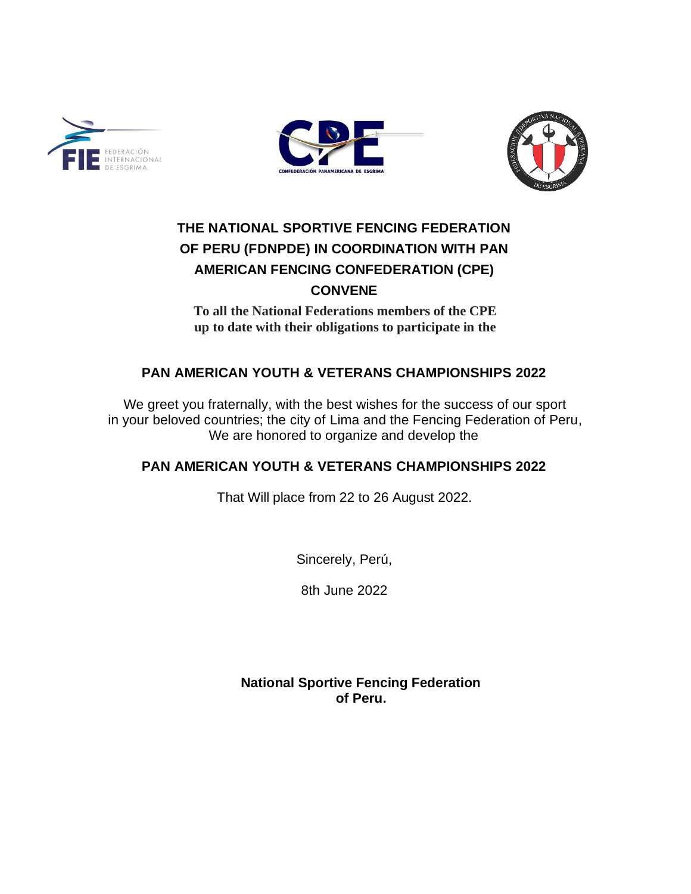





# **THE NATIONAL SPORTIVE FENCING FEDERATION OF PERU (FDNPDE) IN COORDINATION WITH PAN AMERICAN FENCING CONFEDERATION (CPE) CONVENE**

**To all the National Federations members of the CPE up to date with their obligations to participate in the**

## **PAN AMERICAN YOUTH & VETERANS CHAMPIONSHIPS 2022**

We greet you fraternally, with the best wishes for the success of our sport in your beloved countries; the city of Lima and the Fencing Federation of Peru, We are honored to organize and develop the

### **PAN AMERICAN YOUTH & VETERANS CHAMPIONSHIPS 2022**

That Will place from 22 to 26 August 2022.

Sincerely, Perú,

8th June 2022

**National Sportive Fencing Federation of Peru.**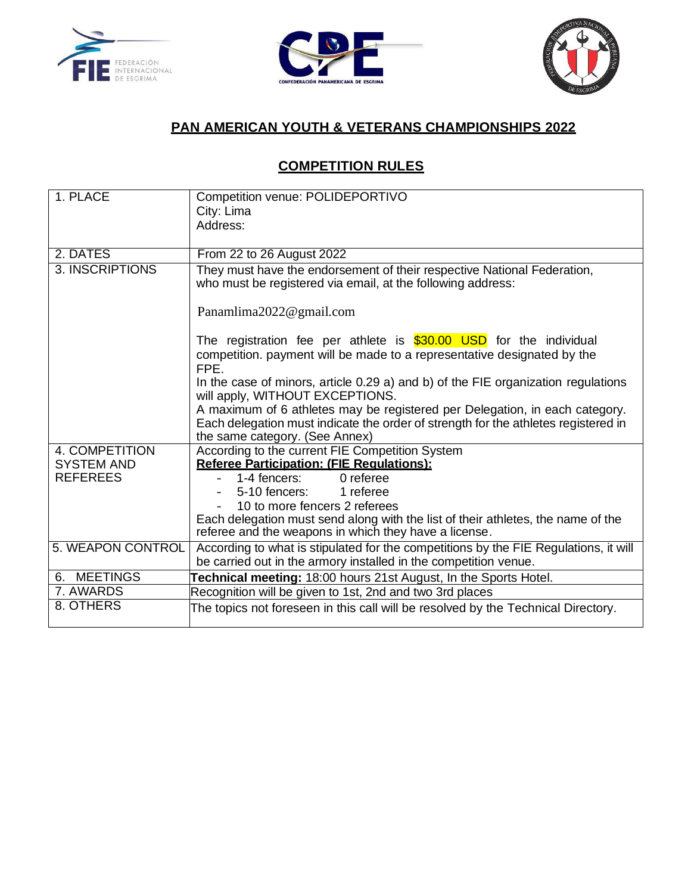





## **PAN AMERICAN YOUTH & VETERANS CHAMPIONSHIPS 2022**

## **COMPETITION RULES**

| 1. PLACE          | Competition venue: POLIDEPORTIVO                                                                                                                                                                    |  |
|-------------------|-----------------------------------------------------------------------------------------------------------------------------------------------------------------------------------------------------|--|
|                   | City: Lima                                                                                                                                                                                          |  |
|                   | Address:                                                                                                                                                                                            |  |
|                   |                                                                                                                                                                                                     |  |
| 2. DATES          | From 22 to 26 August 2022                                                                                                                                                                           |  |
| 3. INSCRIPTIONS   | They must have the endorsement of their respective National Federation,<br>who must be registered via email, at the following address:                                                              |  |
|                   | Panamlima2022@gmail.com                                                                                                                                                                             |  |
|                   | The registration fee per athlete is \$30.00 USD for the individual<br>competition. payment will be made to a representative designated by the<br>FPE.                                               |  |
|                   | In the case of minors, article 0.29 a) and b) of the FIE organization regulations<br>will apply, WITHOUT EXCEPTIONS.                                                                                |  |
|                   | A maximum of 6 athletes may be registered per Delegation, in each category.<br>Each delegation must indicate the order of strength for the athletes registered in<br>the same category. (See Annex) |  |
| 4. COMPETITION    | According to the current FIE Competition System                                                                                                                                                     |  |
| <b>SYSTEM AND</b> | <b>Referee Participation: (FIE Requlations):</b>                                                                                                                                                    |  |
| <b>REFEREES</b>   | 0 referee<br>1-4 fencers:                                                                                                                                                                           |  |
|                   | 5-10 fencers:<br>1 referee                                                                                                                                                                          |  |
|                   | 10 to more fencers 2 referees                                                                                                                                                                       |  |
|                   | Each delegation must send along with the list of their athletes, the name of the<br>referee and the weapons in which they have a license.                                                           |  |
| 5. WEAPON CONTROL | According to what is stipulated for the competitions by the FIE Regulations, it will                                                                                                                |  |
|                   | be carried out in the armory installed in the competition venue.                                                                                                                                    |  |
| 6. MEETINGS       | Technical meeting: 18:00 hours 21st August, In the Sports Hotel.                                                                                                                                    |  |
| 7. AWARDS         | Recognition will be given to 1st, 2nd and two 3rd places                                                                                                                                            |  |
| 8. OTHERS         | The topics not foreseen in this call will be resolved by the Technical Directory.                                                                                                                   |  |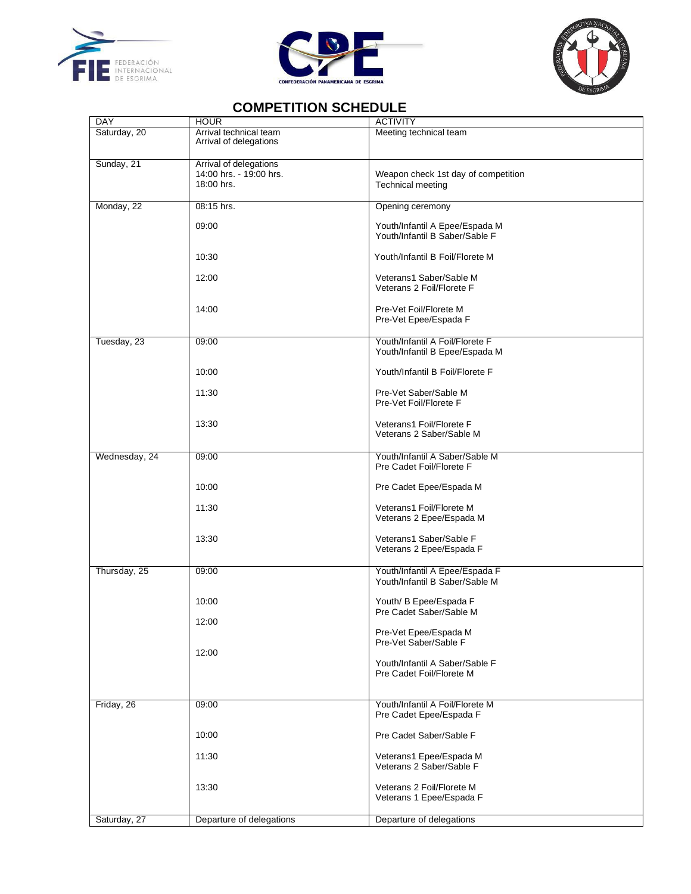





### **COMPETITION SCHEDULE**

| DAY           | <b>HOUR</b>                                                     | <b>ACTIVITY</b>                                                   |
|---------------|-----------------------------------------------------------------|-------------------------------------------------------------------|
| Saturday, 20  | Arrival technical team<br>Arrival of delegations                | Meeting technical team                                            |
| Sunday, 21    | Arrival of delegations<br>14:00 hrs. - 19:00 hrs.<br>18:00 hrs. | Weapon check 1st day of competition<br>Technical meeting          |
| Monday, 22    | 08:15 hrs.                                                      | Opening ceremony                                                  |
|               | 09:00                                                           | Youth/Infantil A Epee/Espada M<br>Youth/Infantil B Saber/Sable F  |
|               | 10:30                                                           | Youth/Infantil B Foil/Florete M                                   |
|               | 12:00                                                           | Veterans1 Saber/Sable M<br>Veterans 2 Foil/Florete F              |
|               | 14:00                                                           | Pre-Vet Foil/Florete M<br>Pre-Vet Epee/Espada F                   |
| Tuesday, 23   | 09:00                                                           | Youth/Infantil A Foil/Florete F<br>Youth/Infantil B Epee/Espada M |
|               | 10:00                                                           | Youth/Infantil B Foil/Florete F                                   |
|               | 11:30                                                           | Pre-Vet Saber/Sable M<br>Pre-Vet Foil/Florete F                   |
|               | 13:30                                                           | Veterans1 Foil/Florete F<br>Veterans 2 Saber/Sable M              |
| Wednesday, 24 | 09:00                                                           | Youth/Infantil A Saber/Sable M<br>Pre Cadet Foil/Florete F        |
|               | 10:00                                                           | Pre Cadet Epee/Espada M                                           |
|               | 11:30                                                           | Veterans1 Foil/Florete M<br>Veterans 2 Epee/Espada M              |
|               | 13:30                                                           | Veterans1 Saber/Sable F<br>Veterans 2 Epee/Espada F               |
| Thursday, 25  | 09:00                                                           | Youth/Infantil A Epee/Espada F<br>Youth/Infantil B Saber/Sable M  |
|               | 10:00                                                           | Youth/ B Epee/Espada F<br>Pre Cadet Saber/Sable M                 |
|               | 12:00                                                           | Pre-Vet Epee/Espada M<br>Pre-Vet Saber/Sable F                    |
|               | 12:00                                                           | Youth/Infantil A Saber/Sable F<br>Pre Cadet Foil/Florete M        |
| Friday, 26    | 09:00                                                           | Youth/Infantil A Foil/Florete M<br>Pre Cadet Epee/Espada F        |
|               | 10:00                                                           | Pre Cadet Saber/Sable F                                           |
|               | 11:30                                                           | Veterans1 Epee/Espada M<br>Veterans 2 Saber/Sable F               |
|               | 13:30                                                           | Veterans 2 Foil/Florete M<br>Veterans 1 Epee/Espada F             |
| Saturday, 27  | Departure of delegations                                        | Departure of delegations                                          |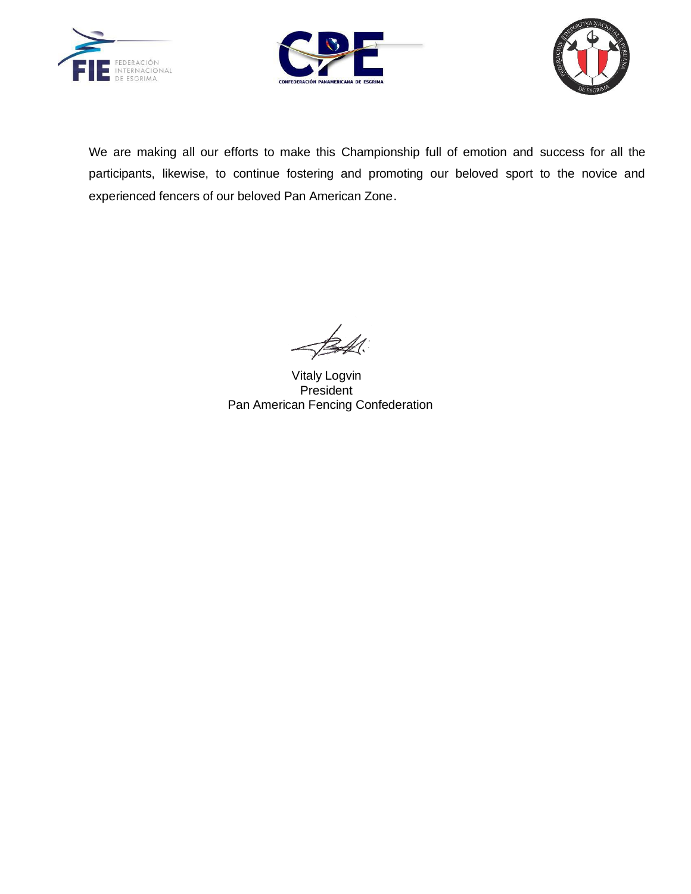





We are making all our efforts to make this Championship full of emotion and success for all the participants, likewise, to continue fostering and promoting our beloved sport to the novice and experienced fencers of our beloved Pan American Zone.

 Vitaly Logvin President Pan American Fencing Confederation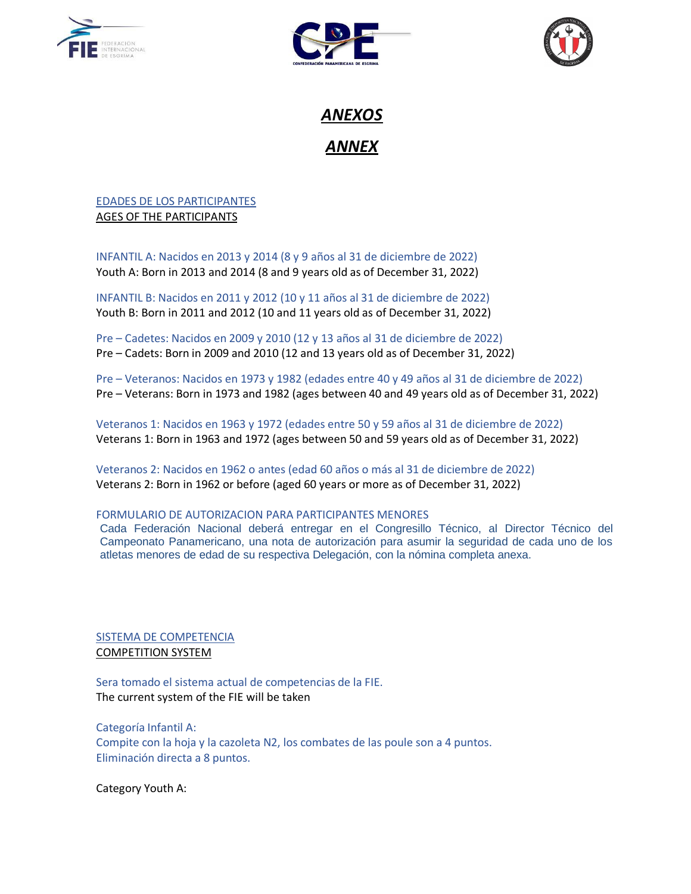





*ANEXOS ANNEX*

### EDADES DE LOS PARTICIPANTES AGES OF THE PARTICIPANTS

INFANTIL A: Nacidos en 2013 y 2014 (8 y 9 años al 31 de diciembre de 2022) Youth A: Born in 2013 and 2014 (8 and 9 years old as of December 31, 2022)

INFANTIL B: Nacidos en 2011 y 2012 (10 y 11 años al 31 de diciembre de 2022) Youth B: Born in 2011 and 2012 (10 and 11 years old as of December 31, 2022)

Pre – Cadetes: Nacidos en 2009 y 2010 (12 y 13 años al 31 de diciembre de 2022) Pre – Cadets: Born in 2009 and 2010 (12 and 13 years old as of December 31, 2022)

Pre – Veteranos: Nacidos en 1973 y 1982 (edades entre 40 y 49 años al 31 de diciembre de 2022) Pre – Veterans: Born in 1973 and 1982 (ages between 40 and 49 years old as of December 31, 2022)

Veteranos 1: Nacidos en 1963 y 1972 (edades entre 50 y 59 años al 31 de diciembre de 2022) Veterans 1: Born in 1963 and 1972 (ages between 50 and 59 years old as of December 31, 2022)

Veteranos 2: Nacidos en 1962 o antes (edad 60 años o más al 31 de diciembre de 2022) Veterans 2: Born in 1962 or before (aged 60 years or more as of December 31, 2022)

### FORMULARIO DE AUTORIZACION PARA PARTICIPANTES MENORES

Cada Federación Nacional deberá entregar en el Congresillo Técnico, al Director Técnico del Campeonato Panamericano, una nota de autorización para asumir la seguridad de cada uno de los atletas menores de edad de su respectiva Delegación, con la nómina completa anexa.

### SISTEMA DE COMPETENCIA COMPETITION SYSTEM

Sera tomado el sistema actual de competencias de la FIE. The current system of the FIE will be taken

Categoría Infantil A: Compite con la hoja y la cazoleta N2, los combates de las poule son a 4 puntos. Eliminación directa a 8 puntos.

Category Youth A: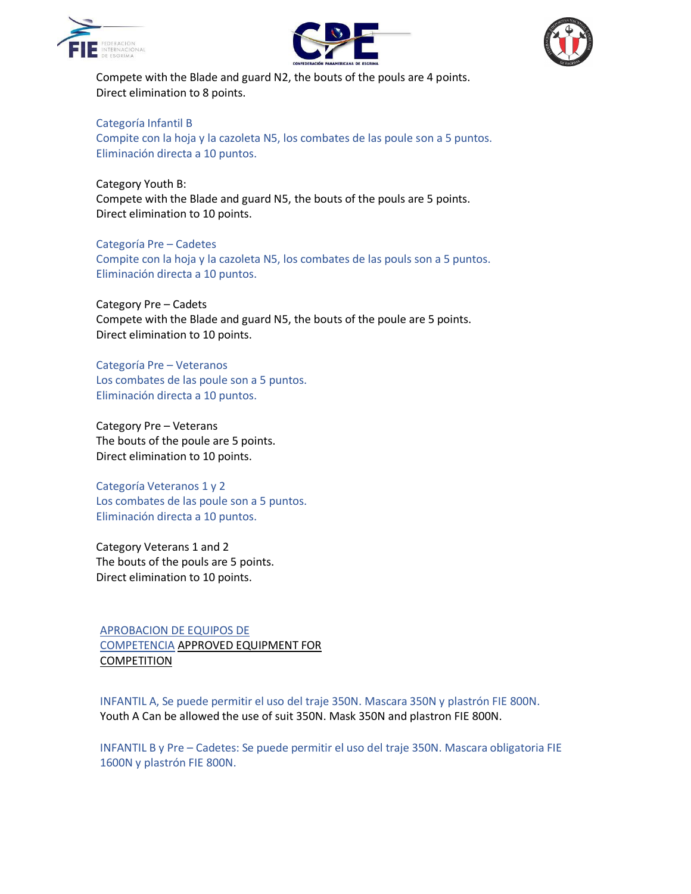





Compete with the Blade and guard N2, the bouts of the pouls are 4 points. Direct elimination to 8 points.

#### Categoría Infantil B

Compite con la hoja y la cazoleta N5, los combates de las poule son a 5 puntos. Eliminación directa a 10 puntos.

Category Youth B:

Compete with the Blade and guard N5, the bouts of the pouls are 5 points. Direct elimination to 10 points.

Categoría Pre – Cadetes Compite con la hoja y la cazoleta N5, los combates de las pouls son a 5 puntos. Eliminación directa a 10 puntos.

Category Pre – Cadets Compete with the Blade and guard N5, the bouts of the poule are 5 points. Direct elimination to 10 points.

Categoría Pre – Veteranos Los combates de las poule son a 5 puntos. Eliminación directa a 10 puntos.

Category Pre – Veterans The bouts of the poule are 5 points. Direct elimination to 10 points.

Categoría Veteranos 1 y 2 Los combates de las poule son a 5 puntos. Eliminación directa a 10 puntos.

Category Veterans 1 and 2 The bouts of the pouls are 5 points. Direct elimination to 10 points.

APROBACION DE EQUIPOS DE COMPETENCIA APPROVED EQUIPMENT FOR COMPETITION

INFANTIL A, Se puede permitir el uso del traje 350N. Mascara 350N y plastrón FIE 800N. Youth A Can be allowed the use of suit 350N. Mask 350N and plastron FIE 800N.

INFANTIL B y Pre – Cadetes: Se puede permitir el uso del traje 350N. Mascara obligatoria FIE 1600N y plastrón FIE 800N.